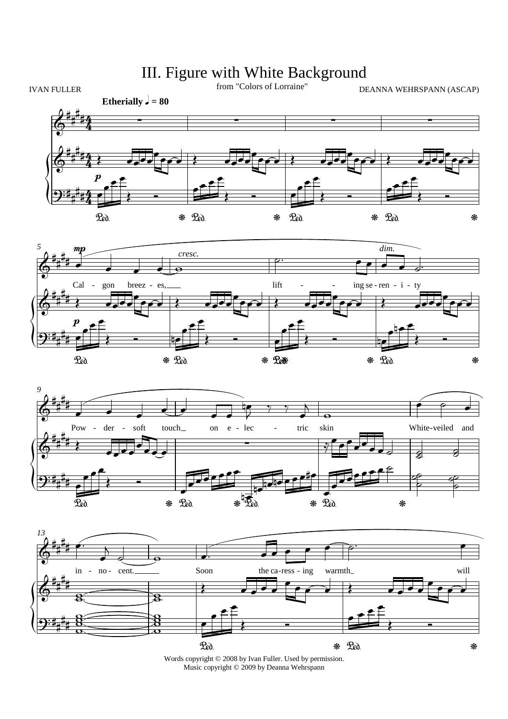## III. Figure with White Background









Words copyright  $\circledcirc$  2008 by Ivan Fuller. Used by permission.<br>Music copyright  $\circledcirc$  2009 by Deanna Wehrspann